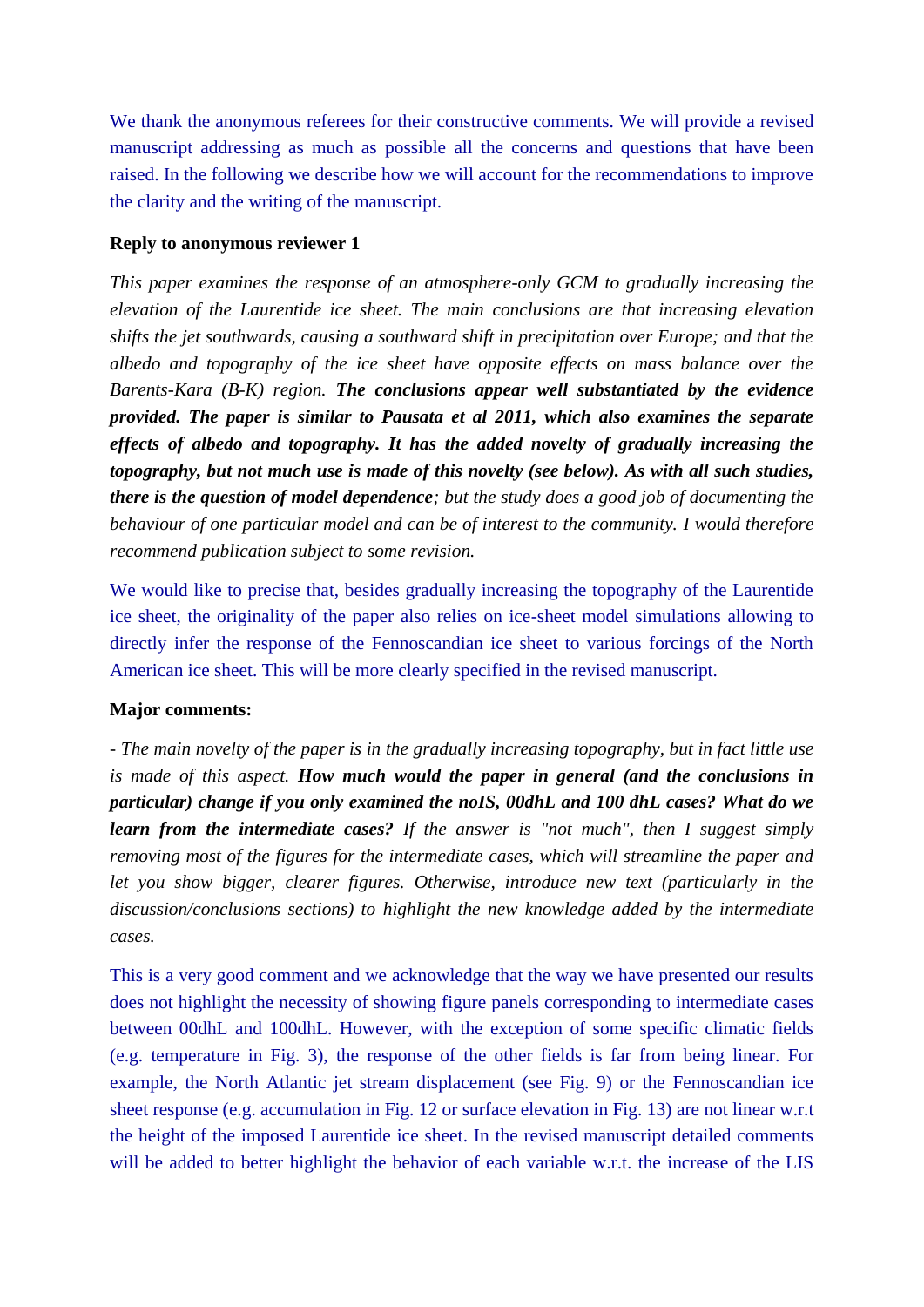We thank the anonymous referees for their constructive comments. We will provide a revised manuscript addressing as much as possible all the concerns and questions that have been raised. In the following we describe how we will account for the recommendations to improve the clarity and the writing of the manuscript.

# **Reply to anonymous reviewer 1**

*This paper examines the response of an atmosphere-only GCM to gradually increasing the elevation of the Laurentide ice sheet. The main conclusions are that increasing elevation shifts the jet southwards, causing a southward shift in precipitation over Europe; and that the albedo and topography of the ice sheet have opposite effects on mass balance over the Barents-Kara (B-K) region. The conclusions appear well substantiated by the evidence provided. The paper is similar to Pausata et al 2011, which also examines the separate effects of albedo and topography. It has the added novelty of gradually increasing the topography, but not much use is made of this novelty (see below). As with all such studies, there is the question of model dependence; but the study does a good job of documenting the behaviour of one particular model and can be of interest to the community. I would therefore recommend publication subject to some revision.*

We would like to precise that, besides gradually increasing the topography of the Laurentide ice sheet, the originality of the paper also relies on ice-sheet model simulations allowing to directly infer the response of the Fennoscandian ice sheet to various forcings of the North American ice sheet. This will be more clearly specified in the revised manuscript.

# **Major comments:**

*- The main novelty of the paper is in the gradually increasing topography, but in fact little use is made of this aspect. How much would the paper in general (and the conclusions in particular) change if you only examined the noIS, 00dhL and 100 dhL cases? What do we learn from the intermediate cases? If the answer is "not much", then I suggest simply removing most of the figures for the intermediate cases, which will streamline the paper and let you show bigger, clearer figures. Otherwise, introduce new text (particularly in the discussion/conclusions sections) to highlight the new knowledge added by the intermediate cases.* 

This is a very good comment and we acknowledge that the way we have presented our results does not highlight the necessity of showing figure panels corresponding to intermediate cases between 00dhL and 100dhL. However, with the exception of some specific climatic fields (e.g. temperature in Fig. 3), the response of the other fields is far from being linear. For example, the North Atlantic jet stream displacement (see Fig. 9) or the Fennoscandian ice sheet response (e.g. accumulation in Fig. 12 or surface elevation in Fig. 13) are not linear w.r.t the height of the imposed Laurentide ice sheet. In the revised manuscript detailed comments will be added to better highlight the behavior of each variable w.r.t. the increase of the LIS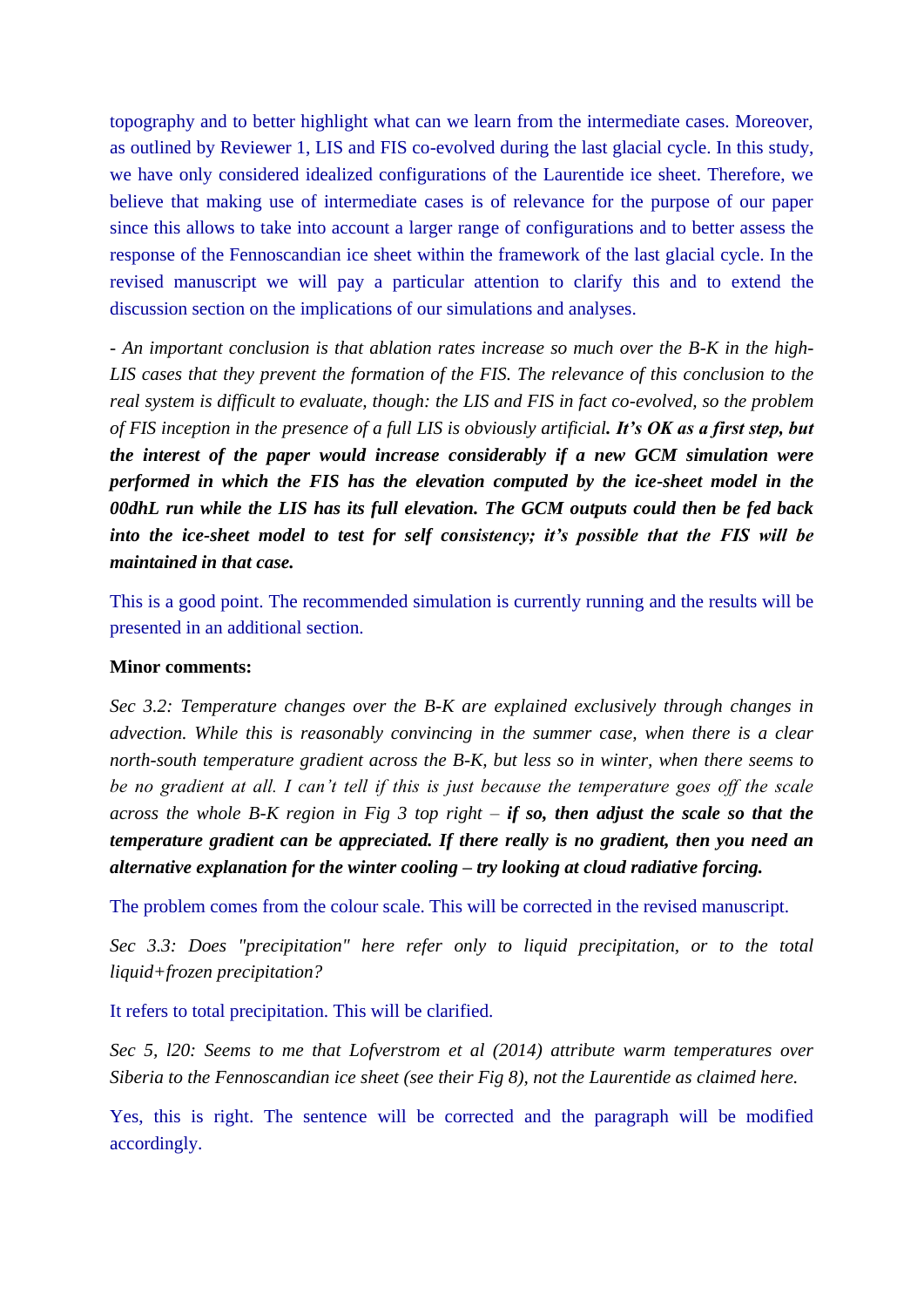topography and to better highlight what can we learn from the intermediate cases. Moreover, as outlined by Reviewer 1, LIS and FIS co-evolved during the last glacial cycle. In this study, we have only considered idealized configurations of the Laurentide ice sheet. Therefore, we believe that making use of intermediate cases is of relevance for the purpose of our paper since this allows to take into account a larger range of configurations and to better assess the response of the Fennoscandian ice sheet within the framework of the last glacial cycle. In the revised manuscript we will pay a particular attention to clarify this and to extend the discussion section on the implications of our simulations and analyses.

*- An important conclusion is that ablation rates increase so much over the B-K in the high-LIS cases that they prevent the formation of the FIS. The relevance of this conclusion to the real system is difficult to evaluate, though: the LIS and FIS in fact co-evolved, so the problem of FIS inception in the presence of a full LIS is obviously artificial. It's OK as a first step, but the interest of the paper would increase considerably if a new GCM simulation were performed in which the FIS has the elevation computed by the ice-sheet model in the 00dhL run while the LIS has its full elevation. The GCM outputs could then be fed back into the ice-sheet model to test for self consistency; it's possible that the FIS will be maintained in that case.*

This is a good point. The recommended simulation is currently running and the results will be presented in an additional section.

### **Minor comments:**

*Sec 3.2: Temperature changes over the B-K are explained exclusively through changes in advection. While this is reasonably convincing in the summer case, when there is a clear north-south temperature gradient across the B-K, but less so in winter, when there seems to be no gradient at all. I can't tell if this is just because the temperature goes off the scale across the whole B-K region in Fig 3 top right – if so, then adjust the scale so that the temperature gradient can be appreciated. If there really is no gradient, then you need an alternative explanation for the winter cooling – try looking at cloud radiative forcing.*

The problem comes from the colour scale. This will be corrected in the revised manuscript.

*Sec 3.3: Does "precipitation" here refer only to liquid precipitation, or to the total liquid+frozen precipitation?* 

It refers to total precipitation. This will be clarified.

*Sec 5, l20: Seems to me that Lofverstrom et al (2014) attribute warm temperatures over Siberia to the Fennoscandian ice sheet (see their Fig 8), not the Laurentide as claimed here.*

Yes, this is right. The sentence will be corrected and the paragraph will be modified accordingly.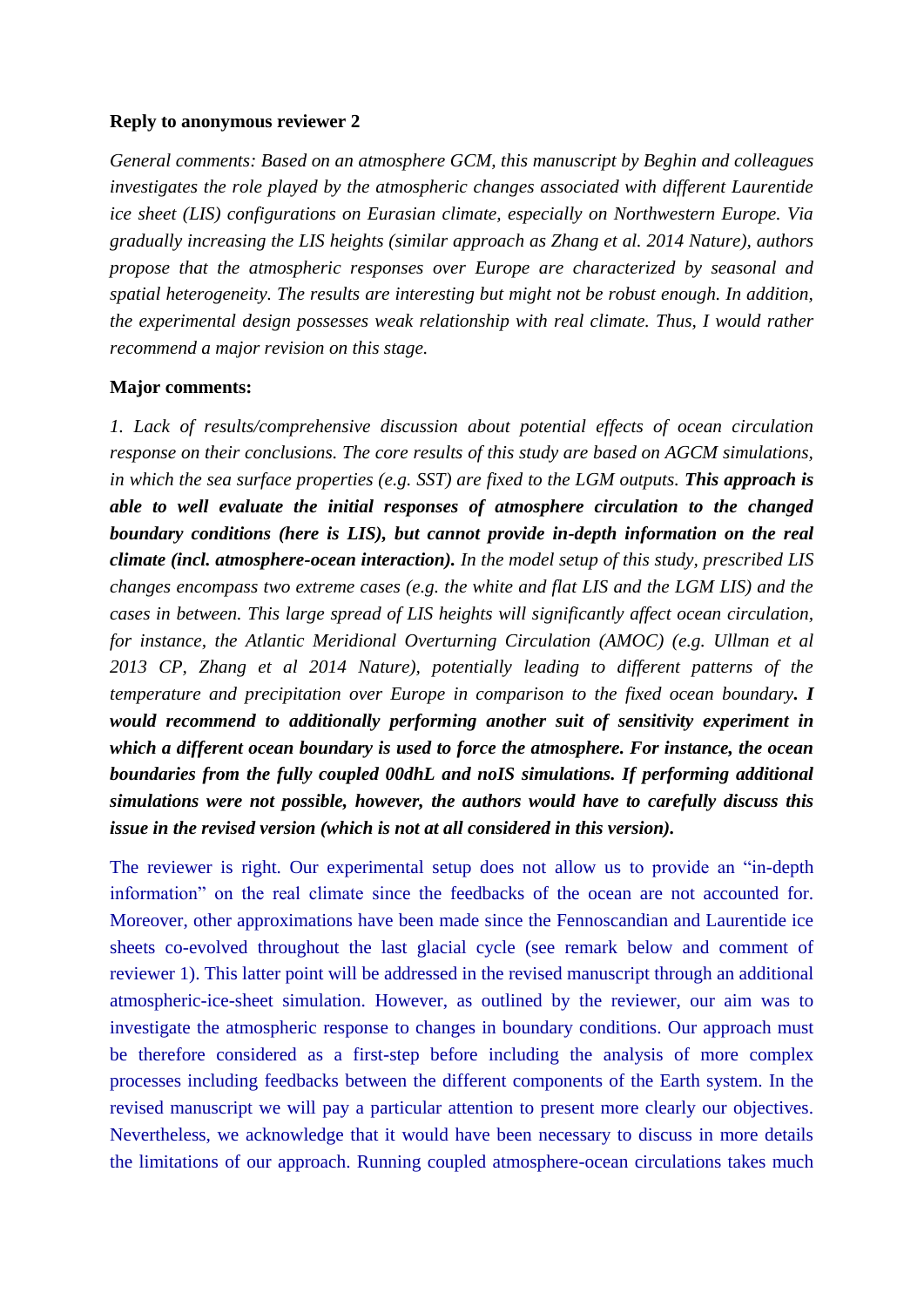## **Reply to anonymous reviewer 2**

*General comments: Based on an atmosphere GCM, this manuscript by Beghin and colleagues investigates the role played by the atmospheric changes associated with different Laurentide ice sheet (LIS) configurations on Eurasian climate, especially on Northwestern Europe. Via gradually increasing the LIS heights (similar approach as Zhang et al. 2014 Nature), authors propose that the atmospheric responses over Europe are characterized by seasonal and spatial heterogeneity. The results are interesting but might not be robust enough. In addition, the experimental design possesses weak relationship with real climate. Thus, I would rather recommend a major revision on this stage.*

## **Major comments:**

*1. Lack of results/comprehensive discussion about potential effects of ocean circulation response on their conclusions. The core results of this study are based on AGCM simulations, in which the sea surface properties (e.g. SST) are fixed to the LGM outputs. This approach is able to well evaluate the initial responses of atmosphere circulation to the changed boundary conditions (here is LIS), but cannot provide in-depth information on the real climate (incl. atmosphere-ocean interaction). In the model setup of this study, prescribed LIS changes encompass two extreme cases (e.g. the white and flat LIS and the LGM LIS) and the cases in between. This large spread of LIS heights will significantly affect ocean circulation, for instance, the Atlantic Meridional Overturning Circulation (AMOC) (e.g. Ullman et al 2013 CP, Zhang et al 2014 Nature), potentially leading to different patterns of the temperature and precipitation over Europe in comparison to the fixed ocean boundary. I would recommend to additionally performing another suit of sensitivity experiment in which a different ocean boundary is used to force the atmosphere. For instance, the ocean boundaries from the fully coupled 00dhL and noIS simulations. If performing additional simulations were not possible, however, the authors would have to carefully discuss this issue in the revised version (which is not at all considered in this version).*

The reviewer is right. Our experimental setup does not allow us to provide an "in-depth information" on the real climate since the feedbacks of the ocean are not accounted for. Moreover, other approximations have been made since the Fennoscandian and Laurentide ice sheets co-evolved throughout the last glacial cycle (see remark below and comment of reviewer 1). This latter point will be addressed in the revised manuscript through an additional atmospheric-ice-sheet simulation. However, as outlined by the reviewer, our aim was to investigate the atmospheric response to changes in boundary conditions. Our approach must be therefore considered as a first-step before including the analysis of more complex processes including feedbacks between the different components of the Earth system. In the revised manuscript we will pay a particular attention to present more clearly our objectives. Nevertheless, we acknowledge that it would have been necessary to discuss in more details the limitations of our approach. Running coupled atmosphere-ocean circulations takes much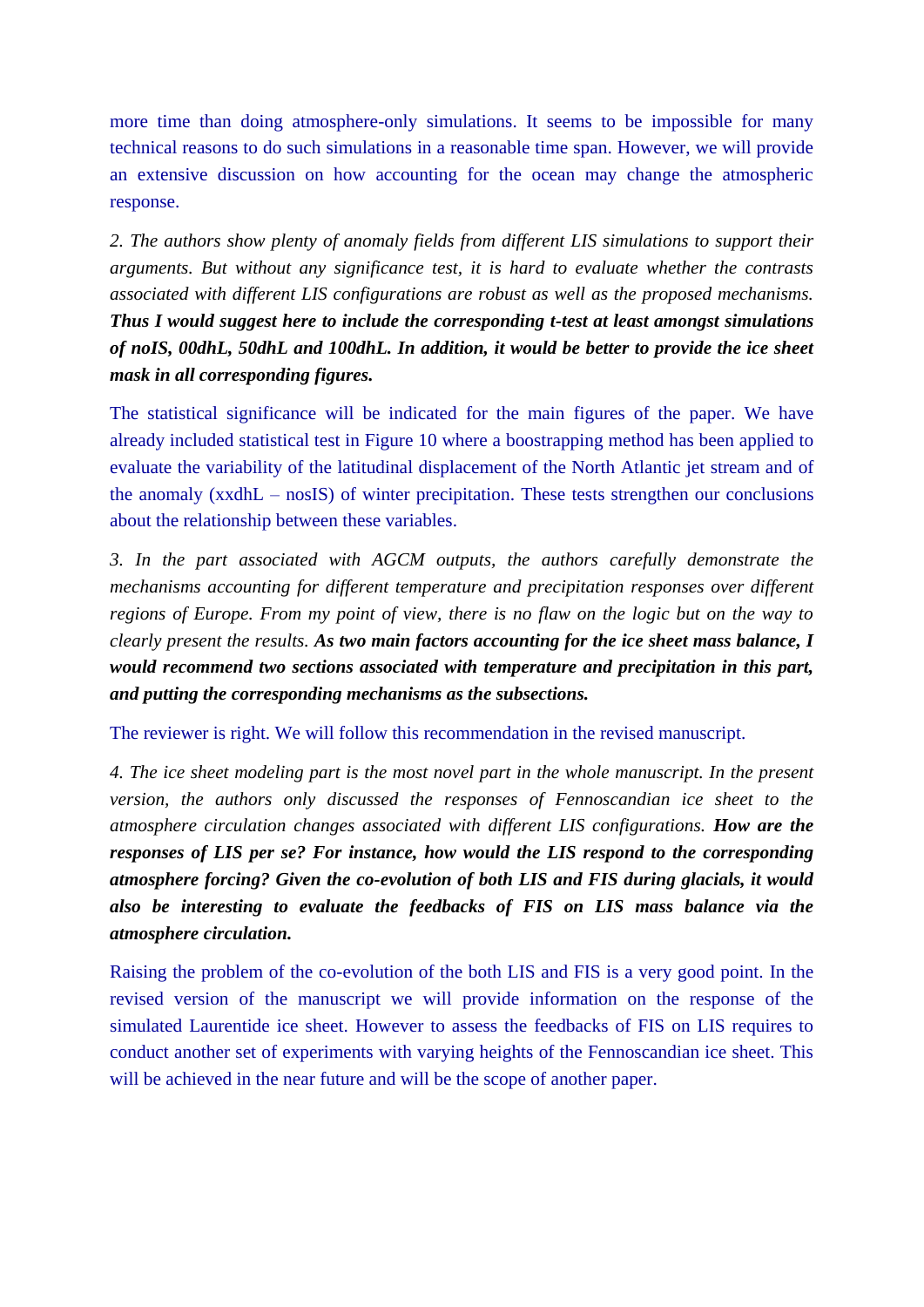more time than doing atmosphere-only simulations. It seems to be impossible for many technical reasons to do such simulations in a reasonable time span. However, we will provide an extensive discussion on how accounting for the ocean may change the atmospheric response.

*2. The authors show plenty of anomaly fields from different LIS simulations to support their arguments. But without any significance test, it is hard to evaluate whether the contrasts associated with different LIS configurations are robust as well as the proposed mechanisms. Thus I would suggest here to include the corresponding t-test at least amongst simulations of noIS, 00dhL, 50dhL and 100dhL. In addition, it would be better to provide the ice sheet mask in all corresponding figures.*

The statistical significance will be indicated for the main figures of the paper. We have already included statistical test in Figure 10 where a boostrapping method has been applied to evaluate the variability of the latitudinal displacement of the North Atlantic jet stream and of the anomaly (xxdhL – nosIS) of winter precipitation. These tests strengthen our conclusions about the relationship between these variables.

*3. In the part associated with AGCM outputs, the authors carefully demonstrate the mechanisms accounting for different temperature and precipitation responses over different regions of Europe. From my point of view, there is no flaw on the logic but on the way to clearly present the results. As two main factors accounting for the ice sheet mass balance, I would recommend two sections associated with temperature and precipitation in this part, and putting the corresponding mechanisms as the subsections.*

The reviewer is right. We will follow this recommendation in the revised manuscript.

*4. The ice sheet modeling part is the most novel part in the whole manuscript. In the present version, the authors only discussed the responses of Fennoscandian ice sheet to the atmosphere circulation changes associated with different LIS configurations. How are the responses of LIS per se? For instance, how would the LIS respond to the corresponding atmosphere forcing? Given the co-evolution of both LIS and FIS during glacials, it would also be interesting to evaluate the feedbacks of FIS on LIS mass balance via the atmosphere circulation.*

Raising the problem of the co-evolution of the both LIS and FIS is a very good point. In the revised version of the manuscript we will provide information on the response of the simulated Laurentide ice sheet. However to assess the feedbacks of FIS on LIS requires to conduct another set of experiments with varying heights of the Fennoscandian ice sheet. This will be achieved in the near future and will be the scope of another paper.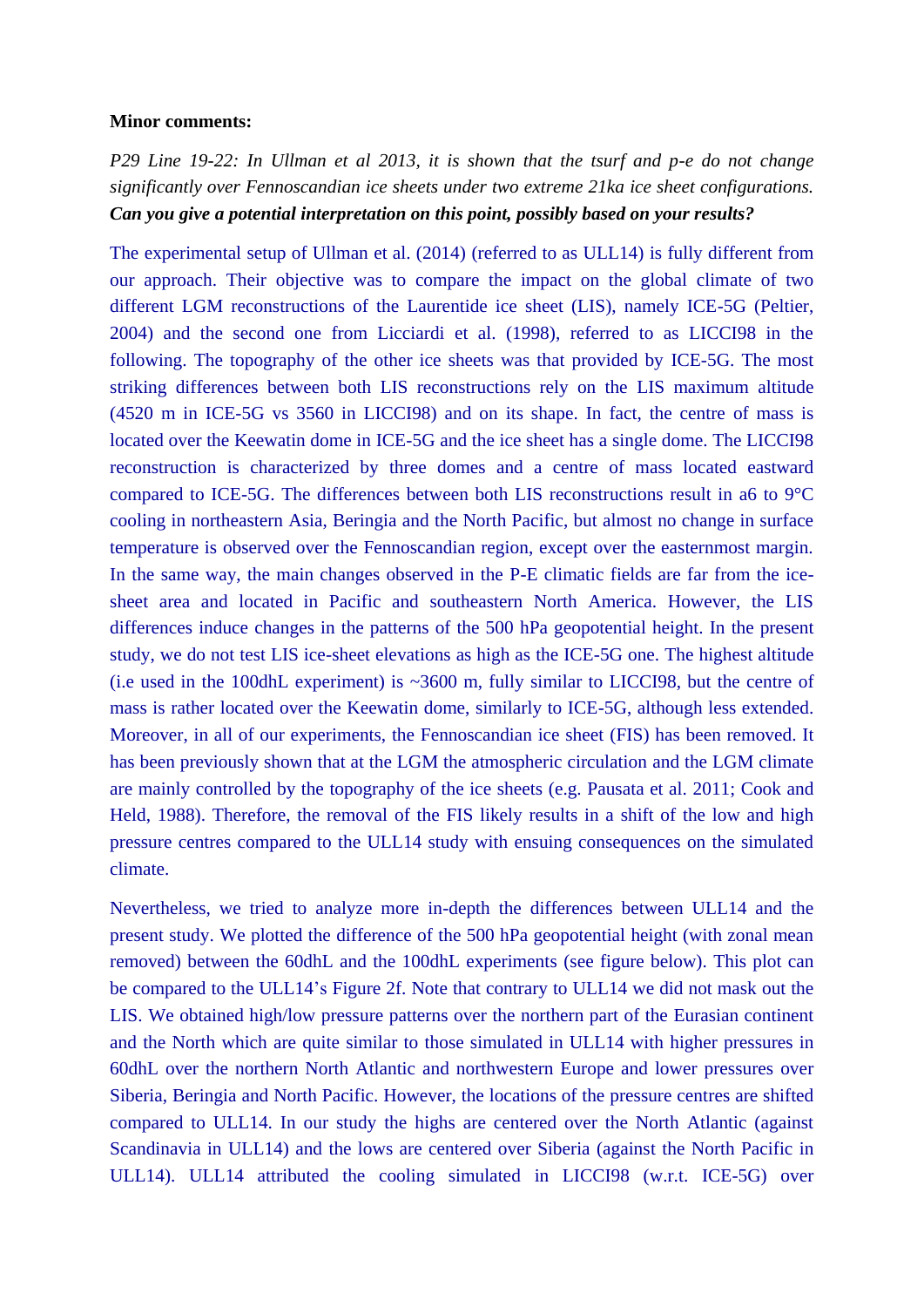#### **Minor comments:**

*P29 Line 19-22: In Ullman et al 2013, it is shown that the tsurf and p-e do not change significantly over Fennoscandian ice sheets under two extreme 21ka ice sheet configurations. Can you give a potential interpretation on this point, possibly based on your results?* 

The experimental setup of Ullman et al. (2014) (referred to as ULL14) is fully different from our approach. Their objective was to compare the impact on the global climate of two different LGM reconstructions of the Laurentide ice sheet (LIS), namely ICE-5G (Peltier, 2004) and the second one from Licciardi et al. (1998), referred to as LICCI98 in the following. The topography of the other ice sheets was that provided by ICE-5G. The most striking differences between both LIS reconstructions rely on the LIS maximum altitude (4520 m in ICE-5G vs 3560 in LICCI98) and on its shape. In fact, the centre of mass is located over the Keewatin dome in ICE-5G and the ice sheet has a single dome. The LICCI98 reconstruction is characterized by three domes and a centre of mass located eastward compared to ICE-5G. The differences between both LIS reconstructions result in a6 to 9°C cooling in northeastern Asia, Beringia and the North Pacific, but almost no change in surface temperature is observed over the Fennoscandian region, except over the easternmost margin. In the same way, the main changes observed in the P-E climatic fields are far from the icesheet area and located in Pacific and southeastern North America. However, the LIS differences induce changes in the patterns of the 500 hPa geopotential height. In the present study, we do not test LIS ice-sheet elevations as high as the ICE-5G one. The highest altitude (i.e used in the 100dhL experiment) is ~3600 m, fully similar to LICCI98, but the centre of mass is rather located over the Keewatin dome, similarly to ICE-5G, although less extended. Moreover, in all of our experiments, the Fennoscandian ice sheet (FIS) has been removed. It has been previously shown that at the LGM the atmospheric circulation and the LGM climate are mainly controlled by the topography of the ice sheets (e.g. Pausata et al. 2011; Cook and Held, 1988). Therefore, the removal of the FIS likely results in a shift of the low and high pressure centres compared to the ULL14 study with ensuing consequences on the simulated climate.

Nevertheless, we tried to analyze more in-depth the differences between ULL14 and the present study. We plotted the difference of the 500 hPa geopotential height (with zonal mean removed) between the 60dhL and the 100dhL experiments (see figure below). This plot can be compared to the ULL14's Figure 2f. Note that contrary to ULL14 we did not mask out the LIS. We obtained high/low pressure patterns over the northern part of the Eurasian continent and the North which are quite similar to those simulated in ULL14 with higher pressures in 60dhL over the northern North Atlantic and northwestern Europe and lower pressures over Siberia, Beringia and North Pacific. However, the locations of the pressure centres are shifted compared to ULL14. In our study the highs are centered over the North Atlantic (against Scandinavia in ULL14) and the lows are centered over Siberia (against the North Pacific in ULL14). ULL14 attributed the cooling simulated in LICCI98 (w.r.t. ICE-5G) over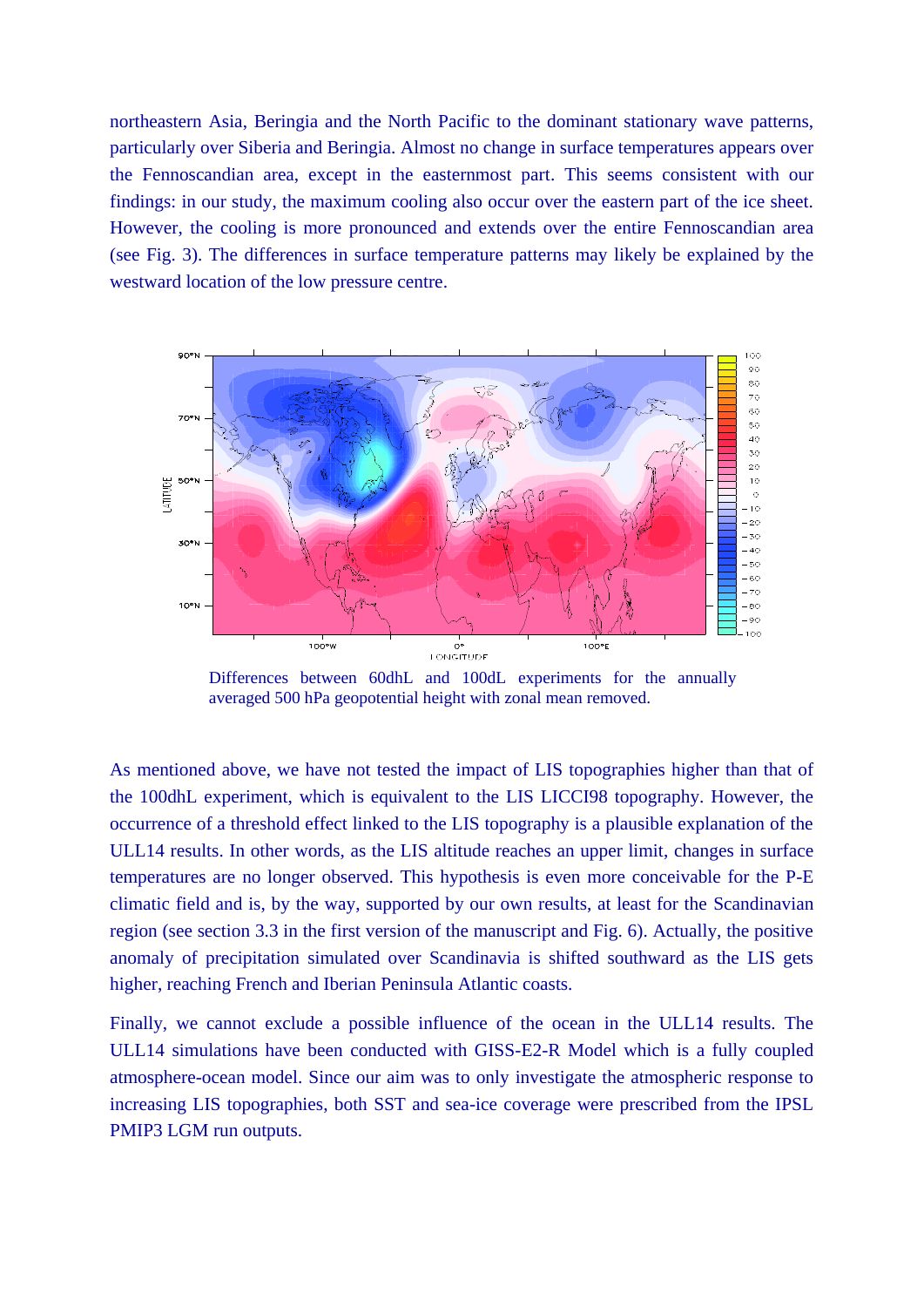northeastern Asia, Beringia and the North Pacific to the dominant stationary wave patterns, particularly over Siberia and Beringia. Almost no change in surface temperatures appears over the Fennoscandian area, except in the easternmost part. This seems consistent with our findings: in our study, the maximum cooling also occur over the eastern part of the ice sheet. However, the cooling is more pronounced and extends over the entire Fennoscandian area (see Fig. 3). The differences in surface temperature patterns may likely be explained by the westward location of the low pressure centre.



Differences between 60dhL and 100dL experiments for the annually averaged 500 hPa geopotential height with zonal mean removed.

As mentioned above, we have not tested the impact of LIS topographies higher than that of the 100dhL experiment, which is equivalent to the LIS LICCI98 topography. However, the occurrence of a threshold effect linked to the LIS topography is a plausible explanation of the ULL14 results. In other words, as the LIS altitude reaches an upper limit, changes in surface temperatures are no longer observed. This hypothesis is even more conceivable for the P-E climatic field and is, by the way, supported by our own results, at least for the Scandinavian region (see section 3.3 in the first version of the manuscript and Fig. 6). Actually, the positive anomaly of precipitation simulated over Scandinavia is shifted southward as the LIS gets higher, reaching French and Iberian Peninsula Atlantic coasts.

Finally, we cannot exclude a possible influence of the ocean in the ULL14 results. The ULL14 simulations have been conducted with GISS-E2-R Model which is a fully coupled atmosphere-ocean model. Since our aim was to only investigate the atmospheric response to increasing LIS topographies, both SST and sea-ice coverage were prescribed from the IPSL PMIP3 LGM run outputs.